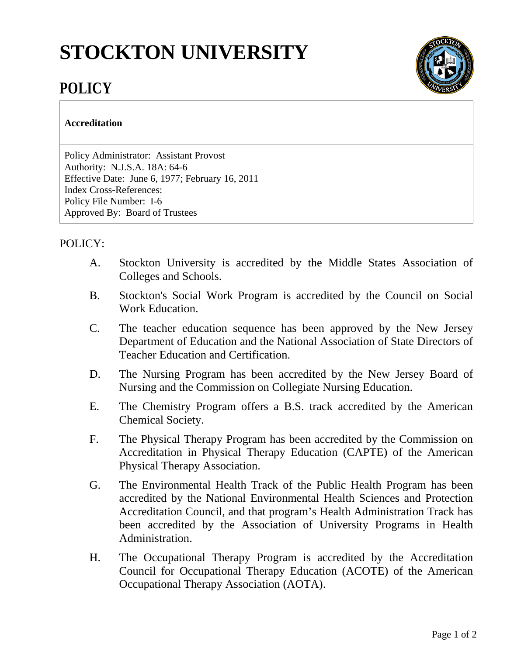## **STOCKTON UNIVERSITY**



## **POLICY**

## **Accreditation**

Policy Administrator: Assistant Provost Authority: N.J.S.A. 18A: 64-6 Effective Date: June 6, 1977; February 16, 2011 Index Cross-References: Policy File Number: I-6 Approved By: Board of Trustees

## POLICY:

- A. Stockton University is accredited by the Middle States Association of Colleges and Schools.
- B. Stockton's Social Work Program is accredited by the Council on Social Work Education.
- C. The teacher education sequence has been approved by the New Jersey Department of Education and the National Association of State Directors of Teacher Education and Certification.
- D. The Nursing Program has been accredited by the New Jersey Board of Nursing and the Commission on Collegiate Nursing Education.
- E. The Chemistry Program offers a B.S. track accredited by the American Chemical Society.
- F. The Physical Therapy Program has been accredited by the Commission on Accreditation in Physical Therapy Education (CAPTE) of the American Physical Therapy Association.
- G. The Environmental Health Track of the Public Health Program has been accredited by the National Environmental Health Sciences and Protection Accreditation Council, and that program's Health Administration Track has been accredited by the Association of University Programs in Health Administration.
- H. The Occupational Therapy Program is accredited by the Accreditation Council for Occupational Therapy Education (ACOTE) of the American Occupational Therapy Association (AOTA).